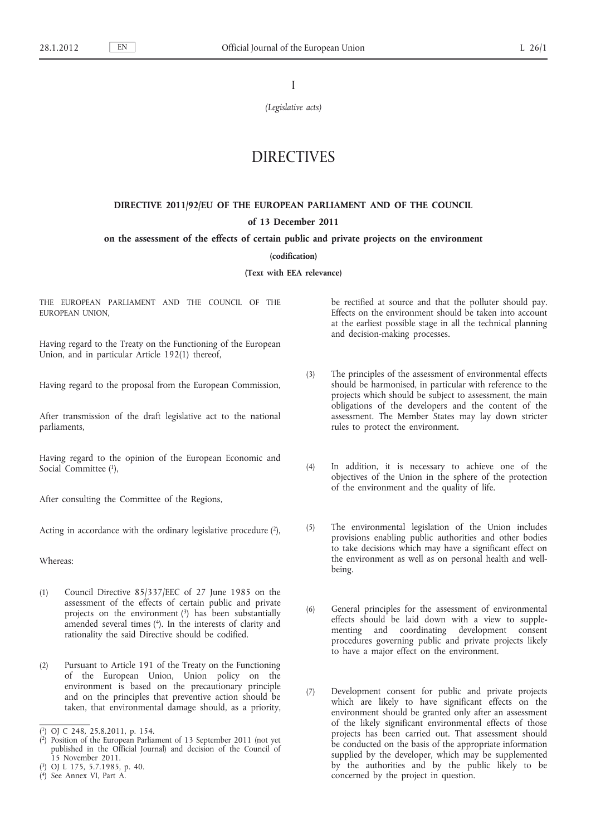I

*(Legislative acts)*

# DIRECTIVES

## **DIRECTIVE 2011/92/EU OF THE EUROPEAN PARLIAMENT AND OF THE COUNCIL**

#### **of 13 December 2011**

#### **on the assessment of the effects of certain public and private projects on the environment**

**(codification)**

**(Text with EEA relevance)**

THE EUROPEAN PARLIAMENT AND THE COUNCIL OF THE EUROPEAN UNION,

Having regard to the Treaty on the Functioning of the European Union, and in particular Article 192(1) thereof,

Having regard to the proposal from the European Commission,

After transmission of the draft legislative act to the national parliaments,

Having regard to the opinion of the European Economic and Social Committee (1),

After consulting the Committee of the Regions,

Acting in accordance with the ordinary legislative procedure  $(2)$ ,

Whereas:

- (1) Council Directive 85/337/EEC of 27 June 1985 on the assessment of the effects of certain public and private projects on the environment  $(3)$  has been substantially amended several times  $(4)$ . In the interests of clarity and rationality the said Directive should be codified.
- (2) Pursuant to Article 191 of the Treaty on the Functioning of the European Union, Union policy on the environment is based on the precautionary principle and on the principles that preventive action should be taken, that environmental damage should, as a priority,

be rectified at source and that the polluter should pay. Effects on the environment should be taken into account at the earliest possible stage in all the technical planning and decision-making processes.

- (3) The principles of the assessment of environmental effects should be harmonised, in particular with reference to the projects which should be subject to assessment, the main obligations of the developers and the content of the assessment. The Member States may lay down stricter rules to protect the environment.
- (4) In addition, it is necessary to achieve one of the objectives of the Union in the sphere of the protection of the environment and the quality of life.
- (5) The environmental legislation of the Union includes provisions enabling public authorities and other bodies to take decisions which may have a significant effect on the environment as well as on personal health and wellbeing.
- (6) General principles for the assessment of environmental effects should be laid down with a view to supplementing and coordinating development consent procedures governing public and private projects likely to have a major effect on the environment.
- (7) Development consent for public and private projects which are likely to have significant effects on the environment should be granted only after an assessment of the likely significant environmental effects of those projects has been carried out. That assessment should be conducted on the basis of the appropriate information supplied by the developer, which may be supplemented by the authorities and by the public likely to be concerned by the project in question.

<sup>(</sup> 1) OJ C 248, 25.8.2011, p. 154.

<sup>(</sup> 2) Position of the European Parliament of 13 September 2011 (not yet published in the Official Journal) and decision of the Council of 15 November 2011.

<sup>(</sup> 3) OJ L 175, 5.7.1985, p. 40.

<sup>(</sup> 4) See Annex VI, Part A.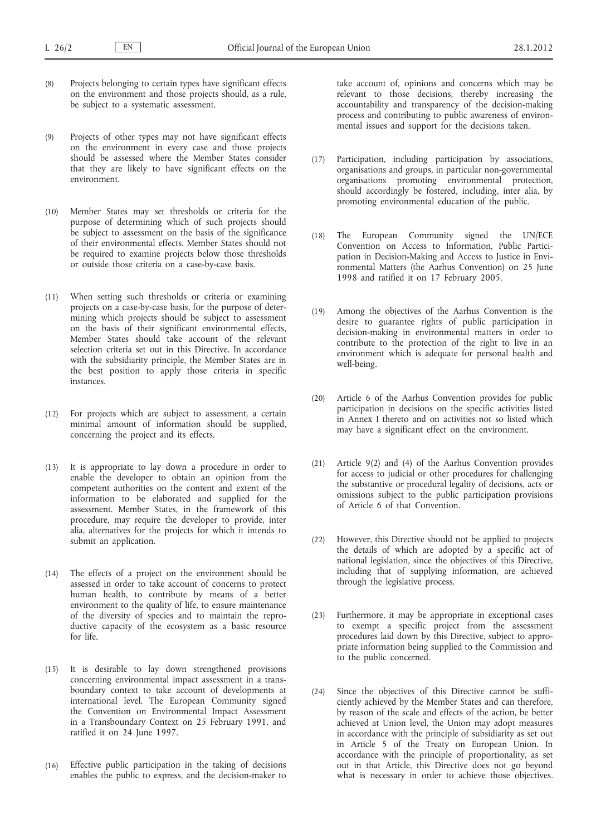- (8) Projects belonging to certain types have significant effects on the environment and those projects should, as a rule, be subject to a systematic assessment.
- (9) Projects of other types may not have significant effects on the environment in every case and those projects should be assessed where the Member States consider that they are likely to have significant effects on the environment.
- (10) Member States may set thresholds or criteria for the purpose of determining which of such projects should be subject to assessment on the basis of the significance of their environmental effects. Member States should not be required to examine projects below those thresholds or outside those criteria on a case-by-case basis.
- (11) When setting such thresholds or criteria or examining projects on a case-by-case basis, for the purpose of determining which projects should be subject to assessment on the basis of their significant environmental effects, Member States should take account of the relevant selection criteria set out in this Directive. In accordance with the subsidiarity principle, the Member States are in the best position to apply those criteria in specific instances.
- (12) For projects which are subject to assessment, a certain minimal amount of information should be supplied, concerning the project and its effects.
- (13) It is appropriate to lay down a procedure in order to enable the developer to obtain an opinion from the competent authorities on the content and extent of the information to be elaborated and supplied for the assessment. Member States, in the framework of this procedure, may require the developer to provide, inter alia, alternatives for the projects for which it intends to submit an application.
- (14) The effects of a project on the environment should be assessed in order to take account of concerns to protect human health, to contribute by means of a better environment to the quality of life, to ensure maintenance of the diversity of species and to maintain the reproductive capacity of the ecosystem as a basic resource for life.
- (15) It is desirable to lay down strengthened provisions concerning environmental impact assessment in a transboundary context to take account of developments at international level. The European Community signed the Convention on Environmental Impact Assessment in a Transboundary Context on 25 February 1991, and ratified it on 24 June 1997.
- (16) Effective public participation in the taking of decisions enables the public to express, and the decision-maker to

take account of, opinions and concerns which may be relevant to those decisions, thereby increasing the accountability and transparency of the decision-making process and contributing to public awareness of environmental issues and support for the decisions taken.

- (17) Participation, including participation by associations, organisations and groups, in particular non-governmental organisations promoting environmental protection, should accordingly be fostered, including, inter alia, by promoting environmental education of the public.
- (18) The European Community signed the UN/ECE Convention on Access to Information, Public Participation in Decision-Making and Access to Justice in Environmental Matters (the Aarhus Convention) on 25 June 1998 and ratified it on 17 February 2005.
- (19) Among the objectives of the Aarhus Convention is the desire to guarantee rights of public participation in decision-making in environmental matters in order to contribute to the protection of the right to live in an environment which is adequate for personal health and well-being.
- (20) Article 6 of the Aarhus Convention provides for public participation in decisions on the specific activities listed in Annex I thereto and on activities not so listed which may have a significant effect on the environment.
- (21) Article 9(2) and (4) of the Aarhus Convention provides for access to judicial or other procedures for challenging the substantive or procedural legality of decisions, acts or omissions subject to the public participation provisions of Article 6 of that Convention.
- (22) However, this Directive should not be applied to projects the details of which are adopted by a specific act of national legislation, since the objectives of this Directive, including that of supplying information, are achieved through the legislative process.
- (23) Furthermore, it may be appropriate in exceptional cases to exempt a specific project from the assessment procedures laid down by this Directive, subject to appropriate information being supplied to the Commission and to the public concerned.
- (24) Since the objectives of this Directive cannot be sufficiently achieved by the Member States and can therefore, by reason of the scale and effects of the action, be better achieved at Union level, the Union may adopt measures in accordance with the principle of subsidiarity as set out in Article 5 of the Treaty on European Union. In accordance with the principle of proportionality, as set out in that Article, this Directive does not go beyond what is necessary in order to achieve those objectives.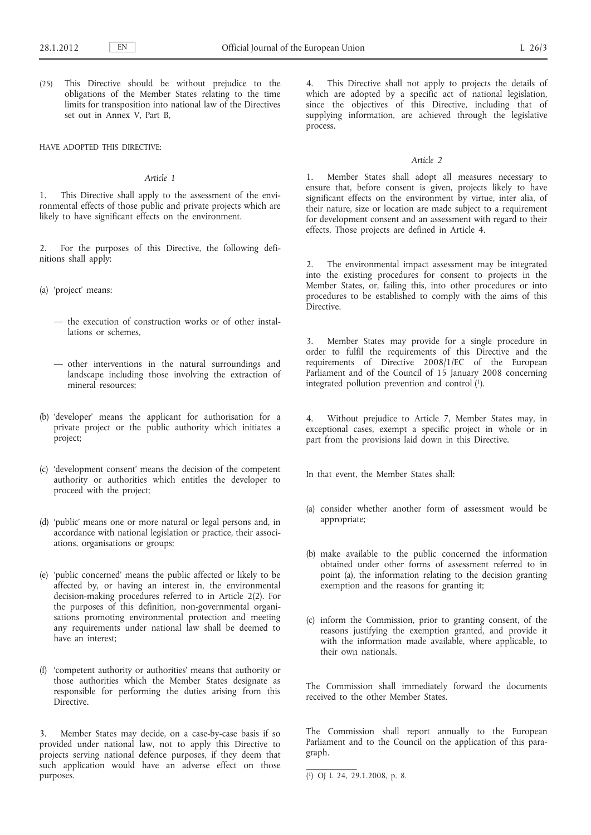(25) This Directive should be without prejudice to the obligations of the Member States relating to the time limits for transposition into national law of the Directives set out in Annex V, Part B,

HAVE ADOPTED THIS DIRECTIVE:

## *Article 1*

1. This Directive shall apply to the assessment of the environmental effects of those public and private projects which are likely to have significant effects on the environment.

For the purposes of this Directive, the following definitions shall apply:

- (a) 'project' means:
	- the execution of construction works or of other installations or schemes,
	- other interventions in the natural surroundings and landscape including those involving the extraction of mineral resources;
- (b) 'developer' means the applicant for authorisation for a private project or the public authority which initiates a project;
- (c) 'development consent' means the decision of the competent authority or authorities which entitles the developer to proceed with the project;
- (d) 'public' means one or more natural or legal persons and, in accordance with national legislation or practice, their associations, organisations or groups;
- (e) 'public concerned' means the public affected or likely to be affected by, or having an interest in, the environmental decision-making procedures referred to in Article 2(2). For the purposes of this definition, non-governmental organisations promoting environmental protection and meeting any requirements under national law shall be deemed to have an interest;
- (f) 'competent authority or authorities' means that authority or those authorities which the Member States designate as responsible for performing the duties arising from this Directive.

3. Member States may decide, on a case-by-case basis if so provided under national law, not to apply this Directive to projects serving national defence purposes, if they deem that such application would have an adverse effect on those purposes.

This Directive shall not apply to projects the details of which are adopted by a specific act of national legislation, since the objectives of this Directive, including that of supplying information, are achieved through the legislative process.

#### *Article 2*

1. Member States shall adopt all measures necessary to ensure that, before consent is given, projects likely to have significant effects on the environment by virtue, inter alia, of their nature, size or location are made subject to a requirement for development consent and an assessment with regard to their effects. Those projects are defined in Article 4.

2. The environmental impact assessment may be integrated into the existing procedures for consent to projects in the Member States, or, failing this, into other procedures or into procedures to be established to comply with the aims of this Directive.

3. Member States may provide for a single procedure in order to fulfil the requirements of this Directive and the requirements of Directive 2008/1/EC of the European Parliament and of the Council of 15 January 2008 concerning integrated pollution prevention and control  $(1)$ .

4. Without prejudice to Article 7, Member States may, in exceptional cases, exempt a specific project in whole or in part from the provisions laid down in this Directive.

In that event, the Member States shall:

- (a) consider whether another form of assessment would be appropriate;
- (b) make available to the public concerned the information obtained under other forms of assessment referred to in point (a), the information relating to the decision granting exemption and the reasons for granting it;
- (c) inform the Commission, prior to granting consent, of the reasons justifying the exemption granted, and provide it with the information made available, where applicable, to their own nationals.

The Commission shall immediately forward the documents received to the other Member States.

The Commission shall report annually to the European Parliament and to the Council on the application of this paragraph.

( 1) OJ L 24, 29.1.2008, p. 8.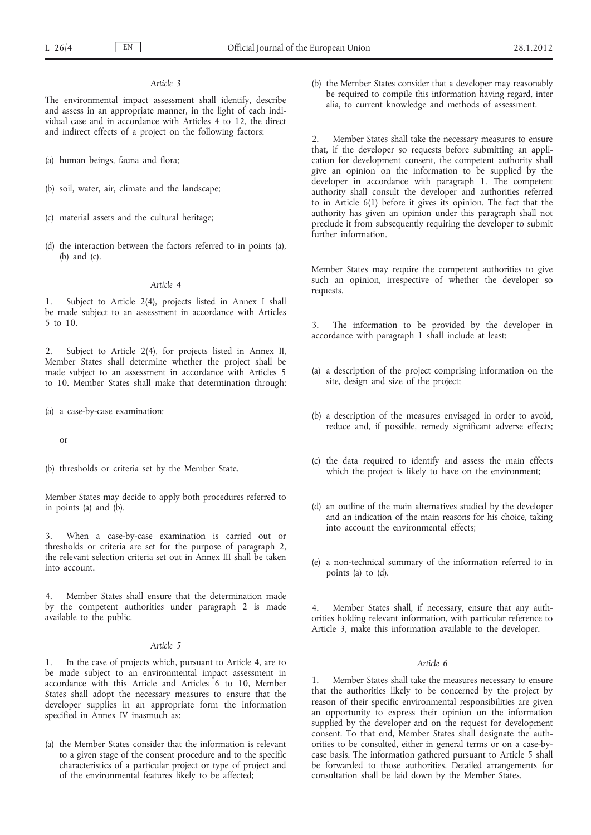#### *Article 3*

The environmental impact assessment shall identify, describe and assess in an appropriate manner, in the light of each individual case and in accordance with Articles 4 to 12, the direct and indirect effects of a project on the following factors:

(a) human beings, fauna and flora;

- (b) soil, water, air, climate and the landscape;
- (c) material assets and the cultural heritage;
- (d) the interaction between the factors referred to in points (a), (b) and (c).

#### *Article 4*

1. Subject to Article 2(4), projects listed in Annex I shall be made subject to an assessment in accordance with Articles 5 to 10.

2. Subject to Article 2(4), for projects listed in Annex II, Member States shall determine whether the project shall be made subject to an assessment in accordance with Articles 5 to 10. Member States shall make that determination through:

(a) a case-by-case examination;

or

(b) thresholds or criteria set by the Member State.

Member States may decide to apply both procedures referred to in points (a) and (b).

3. When a case-by-case examination is carried out or thresholds or criteria are set for the purpose of paragraph 2, the relevant selection criteria set out in Annex III shall be taken into account.

4. Member States shall ensure that the determination made by the competent authorities under paragraph 2 is made available to the public.

## *Article 5*

1. In the case of projects which, pursuant to Article 4, are to be made subject to an environmental impact assessment in accordance with this Article and Articles 6 to 10, Member States shall adopt the necessary measures to ensure that the developer supplies in an appropriate form the information specified in Annex IV inasmuch as:

(a) the Member States consider that the information is relevant to a given stage of the consent procedure and to the specific characteristics of a particular project or type of project and of the environmental features likely to be affected;

(b) the Member States consider that a developer may reasonably be required to compile this information having regard, inter alia, to current knowledge and methods of assessment.

Member States shall take the necessary measures to ensure that, if the developer so requests before submitting an application for development consent, the competent authority shall give an opinion on the information to be supplied by the developer in accordance with paragraph 1. The competent authority shall consult the developer and authorities referred to in Article 6(1) before it gives its opinion. The fact that the authority has given an opinion under this paragraph shall not preclude it from subsequently requiring the developer to submit further information.

Member States may require the competent authorities to give such an opinion, irrespective of whether the developer so requests.

3. The information to be provided by the developer in accordance with paragraph 1 shall include at least:

- (a) a description of the project comprising information on the site, design and size of the project;
- (b) a description of the measures envisaged in order to avoid, reduce and, if possible, remedy significant adverse effects;
- (c) the data required to identify and assess the main effects which the project is likely to have on the environment;
- (d) an outline of the main alternatives studied by the developer and an indication of the main reasons for his choice, taking into account the environmental effects;
- (e) a non-technical summary of the information referred to in points (a) to (d).

4. Member States shall, if necessary, ensure that any authorities holding relevant information, with particular reference to Article 3, make this information available to the developer.

#### *Article 6*

1. Member States shall take the measures necessary to ensure that the authorities likely to be concerned by the project by reason of their specific environmental responsibilities are given an opportunity to express their opinion on the information supplied by the developer and on the request for development consent. To that end, Member States shall designate the authorities to be consulted, either in general terms or on a case-bycase basis. The information gathered pursuant to Article 5 shall be forwarded to those authorities. Detailed arrangements for consultation shall be laid down by the Member States.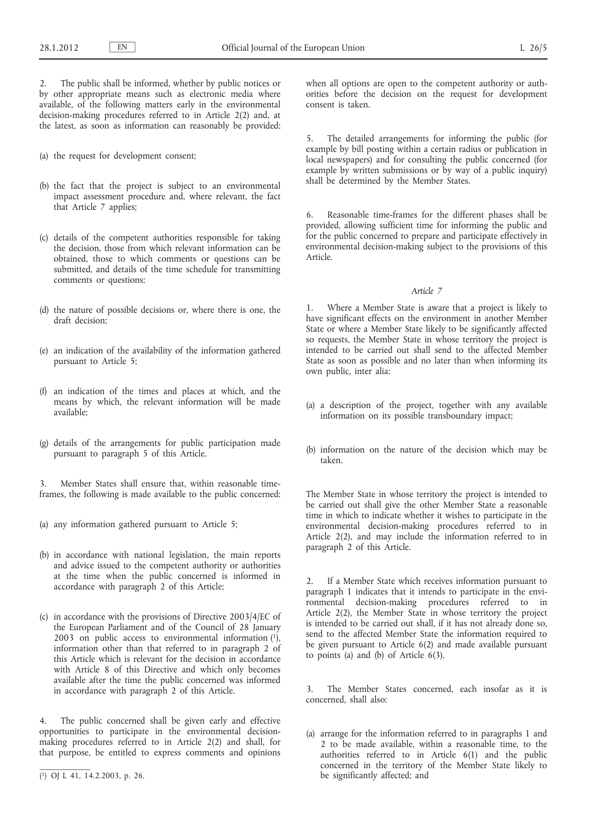The public shall be informed, whether by public notices or by other appropriate means such as electronic media where available, of the following matters early in the environmental decision-making procedures referred to in Article 2(2) and, at the latest, as soon as information can reasonably be provided:

- (a) the request for development consent;
- (b) the fact that the project is subject to an environmental impact assessment procedure and, where relevant, the fact that Article 7 applies;
- (c) details of the competent authorities responsible for taking the decision, those from which relevant information can be obtained, those to which comments or questions can be submitted, and details of the time schedule for transmitting comments or questions;
- (d) the nature of possible decisions or, where there is one, the draft decision;
- (e) an indication of the availability of the information gathered pursuant to Article 5;
- (f) an indication of the times and places at which, and the means by which, the relevant information will be made available;
- (g) details of the arrangements for public participation made pursuant to paragraph 5 of this Article.

Member States shall ensure that, within reasonable timeframes, the following is made available to the public concerned:

- (a) any information gathered pursuant to Article 5;
- (b) in accordance with national legislation, the main reports and advice issued to the competent authority or authorities at the time when the public concerned is informed in accordance with paragraph 2 of this Article;
- (c) in accordance with the provisions of Directive 2003/4/EC of the European Parliament and of the Council of 28 January 2003 on public access to environmental information  $(1)$ , information other than that referred to in paragraph 2 of this Article which is relevant for the decision in accordance with Article 8 of this Directive and which only becomes available after the time the public concerned was informed in accordance with paragraph 2 of this Article.

4. The public concerned shall be given early and effective opportunities to participate in the environmental decisionmaking procedures referred to in Article 2(2) and shall, for that purpose, be entitled to express comments and opinions when all options are open to the competent authority or authorities before the decision on the request for development consent is taken.

The detailed arrangements for informing the public (for example by bill posting within a certain radius or publication in local newspapers) and for consulting the public concerned (for example by written submissions or by way of a public inquiry) shall be determined by the Member States.

6. Reasonable time-frames for the different phases shall be provided, allowing sufficient time for informing the public and for the public concerned to prepare and participate effectively in environmental decision-making subject to the provisions of this Article.

#### *Article 7*

1. Where a Member State is aware that a project is likely to have significant effects on the environment in another Member State or where a Member State likely to be significantly affected so requests, the Member State in whose territory the project is intended to be carried out shall send to the affected Member State as soon as possible and no later than when informing its own public, inter alia:

- (a) a description of the project, together with any available information on its possible transboundary impact;
- (b) information on the nature of the decision which may be taken.

The Member State in whose territory the project is intended to be carried out shall give the other Member State a reasonable time in which to indicate whether it wishes to participate in the environmental decision-making procedures referred to in Article 2(2), and may include the information referred to in paragraph 2 of this Article.

2. If a Member State which receives information pursuant to paragraph 1 indicates that it intends to participate in the environmental decision-making procedures referred to in Article 2(2), the Member State in whose territory the project is intended to be carried out shall, if it has not already done so, send to the affected Member State the information required to be given pursuant to Article 6(2) and made available pursuant to points (a) and (b) of Article 6(3).

3. The Member States concerned, each insofar as it is concerned, shall also:

(a) arrange for the information referred to in paragraphs 1 and 2 to be made available, within a reasonable time, to the authorities referred to in Article 6(1) and the public concerned in the territory of the Member State likely to be significantly affected; and

<sup>(</sup> 1) OJ L 41, 14.2.2003, p. 26.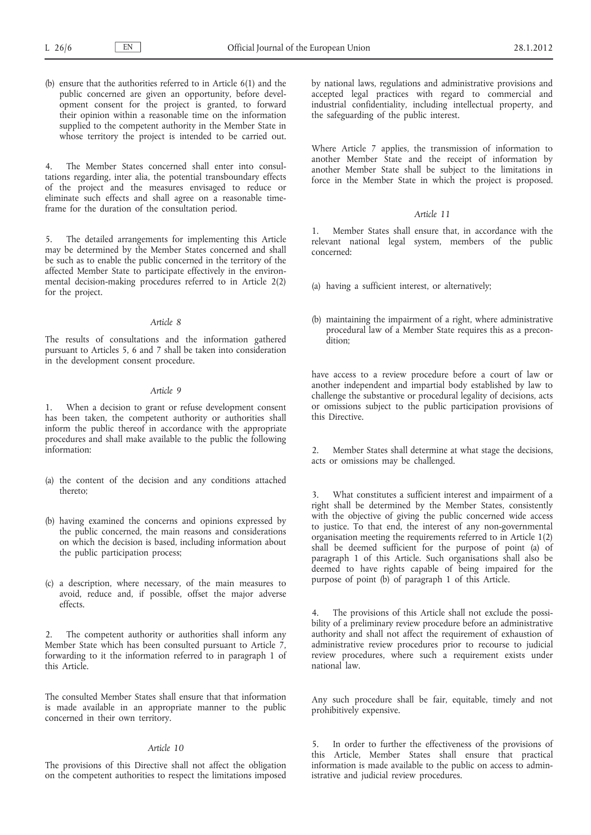(b) ensure that the authorities referred to in Article 6(1) and the public concerned are given an opportunity, before development consent for the project is granted, to forward their opinion within a reasonable time on the information supplied to the competent authority in the Member State in whose territory the project is intended to be carried out.

4. The Member States concerned shall enter into consultations regarding, inter alia, the potential transboundary effects of the project and the measures envisaged to reduce or eliminate such effects and shall agree on a reasonable timeframe for the duration of the consultation period.

5. The detailed arrangements for implementing this Article may be determined by the Member States concerned and shall be such as to enable the public concerned in the territory of the affected Member State to participate effectively in the environmental decision-making procedures referred to in Article 2(2) for the project.

#### *Article 8*

The results of consultations and the information gathered pursuant to Articles 5, 6 and 7 shall be taken into consideration in the development consent procedure.

#### *Article 9*

1. When a decision to grant or refuse development consent has been taken, the competent authority or authorities shall inform the public thereof in accordance with the appropriate procedures and shall make available to the public the following information:

- (a) the content of the decision and any conditions attached thereto;
- (b) having examined the concerns and opinions expressed by the public concerned, the main reasons and considerations on which the decision is based, including information about the public participation process;
- (c) a description, where necessary, of the main measures to avoid, reduce and, if possible, offset the major adverse effects.

2. The competent authority or authorities shall inform any Member State which has been consulted pursuant to Article  $\dot{7}$ , forwarding to it the information referred to in paragraph 1 of this Article.

The consulted Member States shall ensure that that information is made available in an appropriate manner to the public concerned in their own territory.

## *Article 10*

The provisions of this Directive shall not affect the obligation on the competent authorities to respect the limitations imposed by national laws, regulations and administrative provisions and accepted legal practices with regard to commercial and industrial confidentiality, including intellectual property, and the safeguarding of the public interest.

Where Article 7 applies, the transmission of information to another Member State and the receipt of information by another Member State shall be subject to the limitations in force in the Member State in which the project is proposed.

#### *Article 11*

Member States shall ensure that, in accordance with the relevant national legal system, members of the public concerned:

- (a) having a sufficient interest, or alternatively;
- (b) maintaining the impairment of a right, where administrative procedural law of a Member State requires this as a precondition;

have access to a review procedure before a court of law or another independent and impartial body established by law to challenge the substantive or procedural legality of decisions, acts or omissions subject to the public participation provisions of this Directive.

Member States shall determine at what stage the decisions, acts or omissions may be challenged.

What constitutes a sufficient interest and impairment of a right shall be determined by the Member States, consistently with the objective of giving the public concerned wide access to justice. To that end, the interest of any non-governmental organisation meeting the requirements referred to in Article 1(2) shall be deemed sufficient for the purpose of point (a) of paragraph 1 of this Article. Such organisations shall also be deemed to have rights capable of being impaired for the purpose of point (b) of paragraph 1 of this Article.

4. The provisions of this Article shall not exclude the possibility of a preliminary review procedure before an administrative authority and shall not affect the requirement of exhaustion of administrative review procedures prior to recourse to judicial review procedures, where such a requirement exists under national law.

Any such procedure shall be fair, equitable, timely and not prohibitively expensive.

5. In order to further the effectiveness of the provisions of this Article, Member States shall ensure that practical information is made available to the public on access to administrative and judicial review procedures.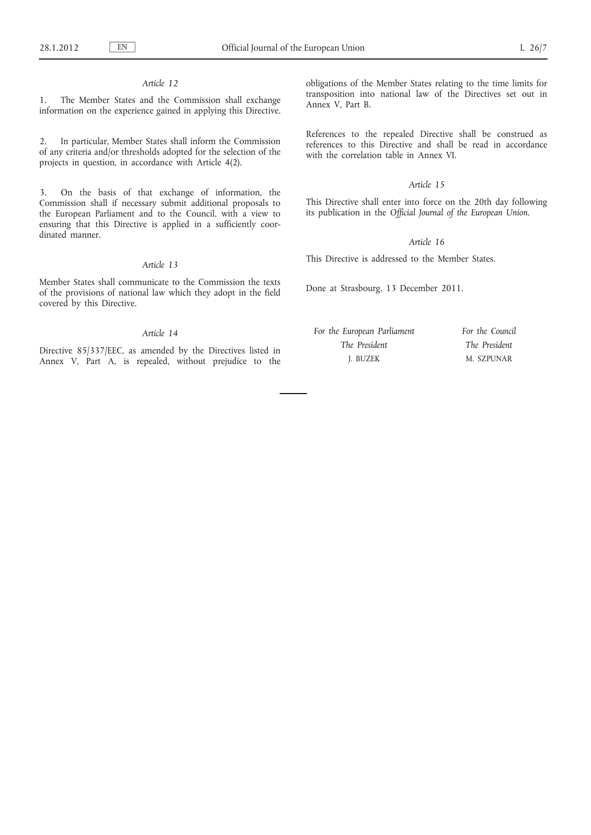## *Article 12*

1. The Member States and the Commission shall exchange information on the experience gained in applying this Directive.

2. In particular, Member States shall inform the Commission of any criteria and/or thresholds adopted for the selection of the projects in question, in accordance with Article 4(2).

3. On the basis of that exchange of information, the Commission shall if necessary submit additional proposals to the European Parliament and to the Council, with a view to ensuring that this Directive is applied in a sufficiently coordinated manner.

#### *Article 13*

Member States shall communicate to the Commission the texts of the provisions of national law which they adopt in the field covered by this Directive.

#### *Article 14*

Directive 85/337/EEC, as amended by the Directives listed in Annex V, Part A, is repealed, without prejudice to the obligations of the Member States relating to the time limits for transposition into national law of the Directives set out in Annex V, Part B.

References to the repealed Directive shall be construed as references to this Directive and shall be read in accordance with the correlation table in Annex VI.

#### *Article 15*

This Directive shall enter into force on the 20th day following its publication in the *Official Journal of the European Union*.

#### *Article 16*

This Directive is addressed to the Member States.

Done at Strasbourg, 13 December 2011.

*For the European Parliament The President* J. BUZEK

*For the Council The President* M. SZPUNAR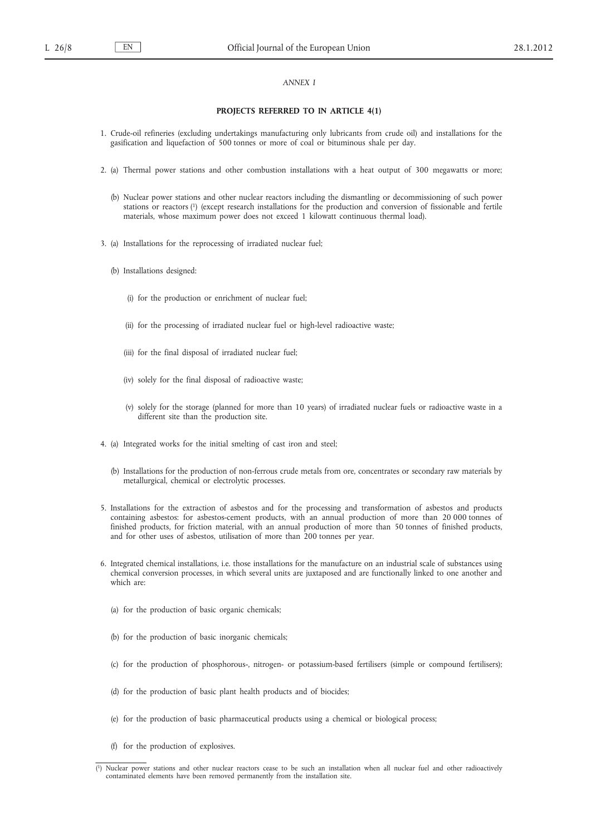#### *ANNEX I*

#### **PROJECTS REFERRED TO IN ARTICLE 4(1)**

- 1. Crude-oil refineries (excluding undertakings manufacturing only lubricants from crude oil) and installations for the gasification and liquefaction of 500 tonnes or more of coal or bituminous shale per day.
- 2. (a) Thermal power stations and other combustion installations with a heat output of 300 megawatts or more;
	- (b) Nuclear power stations and other nuclear reactors including the dismantling or decommissioning of such power stations or reactors (1) (except research installations for the production and conversion of fissionable and fertile materials, whose maximum power does not exceed 1 kilowatt continuous thermal load).
- 3. (a) Installations for the reprocessing of irradiated nuclear fuel;
	- (b) Installations designed:
		- (i) for the production or enrichment of nuclear fuel;
		- (ii) for the processing of irradiated nuclear fuel or high-level radioactive waste;
		- (iii) for the final disposal of irradiated nuclear fuel;
		- (iv) solely for the final disposal of radioactive waste;
		- (v) solely for the storage (planned for more than 10 years) of irradiated nuclear fuels or radioactive waste in a different site than the production site.
- 4. (a) Integrated works for the initial smelting of cast iron and steel;
	- (b) Installations for the production of non-ferrous crude metals from ore, concentrates or secondary raw materials by metallurgical, chemical or electrolytic processes.
- 5. Installations for the extraction of asbestos and for the processing and transformation of asbestos and products containing asbestos: for asbestos-cement products, with an annual production of more than 20 000 tonnes of finished products, for friction material, with an annual production of more than 50 tonnes of finished products, and for other uses of asbestos, utilisation of more than 200 tonnes per year.
- 6. Integrated chemical installations, i.e. those installations for the manufacture on an industrial scale of substances using chemical conversion processes, in which several units are juxtaposed and are functionally linked to one another and which are:
	- (a) for the production of basic organic chemicals;
	- (b) for the production of basic inorganic chemicals;
	- (c) for the production of phosphorous-, nitrogen- or potassium-based fertilisers (simple or compound fertilisers);
	- (d) for the production of basic plant health products and of biocides;
	- (e) for the production of basic pharmaceutical products using a chemical or biological process;
	- (f) for the production of explosives.

<sup>(</sup> 1) Nuclear power stations and other nuclear reactors cease to be such an installation when all nuclear fuel and other radioactively contaminated elements have been removed permanently from the installation site.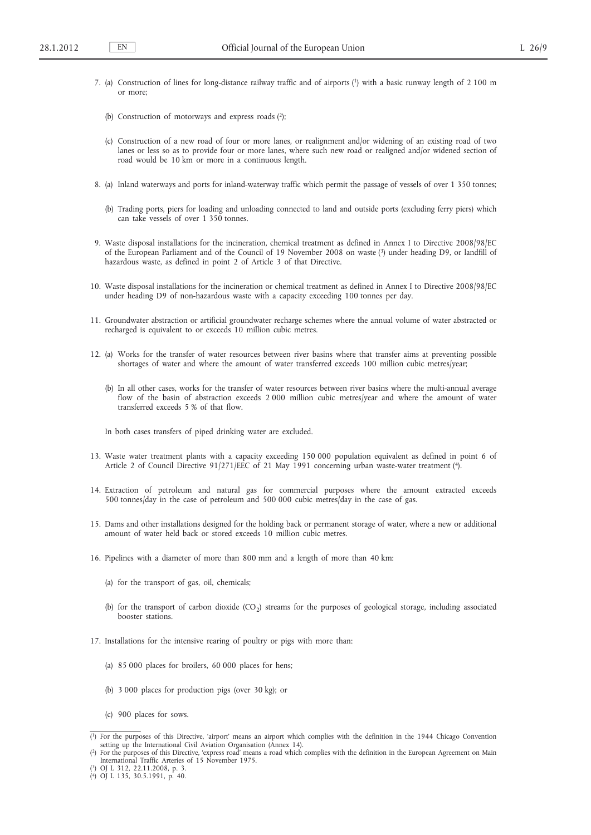- 7. (a) Construction of lines for long-distance railway traffic and of airports (1) with a basic runway length of 2 100 m or more;
	- (b) Construction of motorways and express roads  $(2)$ ;
	- (c) Construction of a new road of four or more lanes, or realignment and/or widening of an existing road of two lanes or less so as to provide four or more lanes, where such new road or realigned and/or widened section of road would be 10 km or more in a continuous length.
- 8. (a) Inland waterways and ports for inland-waterway traffic which permit the passage of vessels of over 1 350 tonnes;
	- (b) Trading ports, piers for loading and unloading connected to land and outside ports (excluding ferry piers) which can take vessels of over 1 350 tonnes.
- 9. Waste disposal installations for the incineration, chemical treatment as defined in Annex I to Directive 2008/98/EC of the European Parliament and of the Council of 19 November 2008 on waste (3) under heading D9, or landfill of hazardous waste, as defined in point 2 of Article 3 of that Directive.
- 10. Waste disposal installations for the incineration or chemical treatment as defined in Annex I to Directive 2008/98/EC under heading D9 of non-hazardous waste with a capacity exceeding 100 tonnes per day.
- 11. Groundwater abstraction or artificial groundwater recharge schemes where the annual volume of water abstracted or recharged is equivalent to or exceeds 10 million cubic metres.
- 12. (a) Works for the transfer of water resources between river basins where that transfer aims at preventing possible shortages of water and where the amount of water transferred exceeds 100 million cubic metres/year;
	- (b) In all other cases, works for the transfer of water resources between river basins where the multi-annual average flow of the basin of abstraction exceeds 2 000 million cubic metres/year and where the amount of water transferred exceeds 5 % of that flow.

In both cases transfers of piped drinking water are excluded.

- 13. Waste water treatment plants with a capacity exceeding 150 000 population equivalent as defined in point 6 of Article 2 of Council Directive 91/271/EEC of 21 May 1991 concerning urban waste-water treatment (4).
- 14. Extraction of petroleum and natural gas for commercial purposes where the amount extracted exceeds 500 tonnes/day in the case of petroleum and 500 000 cubic metres/day in the case of gas.
- 15. Dams and other installations designed for the holding back or permanent storage of water, where a new or additional amount of water held back or stored exceeds 10 million cubic metres.
- 16. Pipelines with a diameter of more than 800 mm and a length of more than 40 km:
	- (a) for the transport of gas, oil, chemicals;
	- (b) for the transport of carbon dioxide  $(CO<sub>2</sub>)$  streams for the purposes of geological storage, including associated booster stations.
- 17. Installations for the intensive rearing of poultry or pigs with more than:
	- (a) 85 000 places for broilers, 60 000 places for hens;
	- (b) 3 000 places for production pigs (over 30 kg); or
	- (c) 900 places for sows.

<sup>(</sup> 1) For the purposes of this Directive, 'airport' means an airport which complies with the definition in the 1944 Chicago Convention

setting up the International Civil Aviation Organisation (Annex 14).<br>(?) For the purposes of this Directive, 'express road' means a road which complies with the definition in the European Agreement on Main<br>International Tr

<sup>(</sup> 3) OJ L 312, 22.11.2008, p. 3. ( 4) OJ L 135, 30.5.1991, p. 40.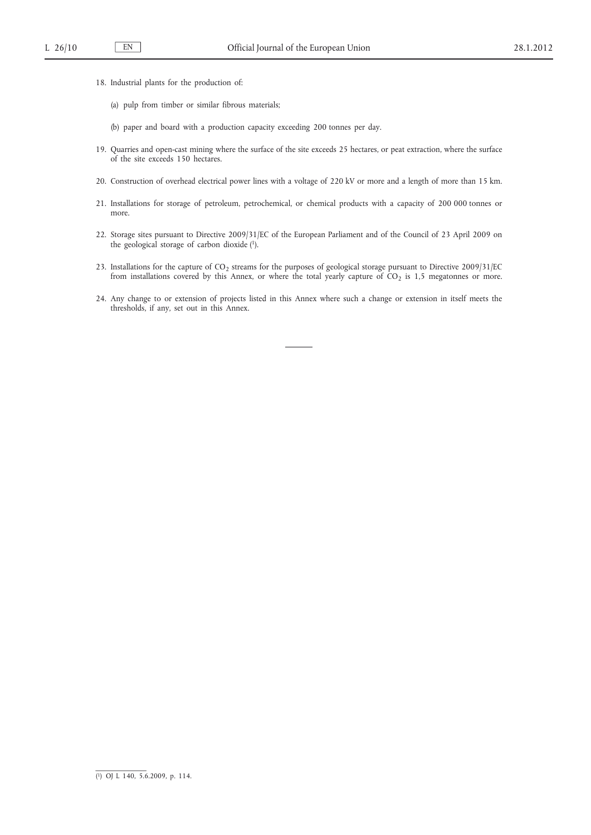- 18. Industrial plants for the production of:
	- (a) pulp from timber or similar fibrous materials;
	- (b) paper and board with a production capacity exceeding 200 tonnes per day.
- 19. Quarries and open-cast mining where the surface of the site exceeds 25 hectares, or peat extraction, where the surface of the site exceeds 150 hectares.
- 20. Construction of overhead electrical power lines with a voltage of 220 kV or more and a length of more than 15 km.
- 21. Installations for storage of petroleum, petrochemical, or chemical products with a capacity of 200 000 tonnes or more.
- 22. Storage sites pursuant to Directive 2009/31/EC of the European Parliament and of the Council of 23 April 2009 on the geological storage of carbon dioxide (1).
- 23. Installations for the capture of CO<sub>2</sub> streams for the purposes of geological storage pursuant to Directive 2009/31/EC from installations covered by this Annex, or where the total yearly capture of  $CO_2$  is 1,5 megatonnes or more.
- 24. Any change to or extension of projects listed in this Annex where such a change or extension in itself meets the thresholds, if any, set out in this Annex.

<sup>(</sup> 1) OJ L 140, 5.6.2009, p. 114.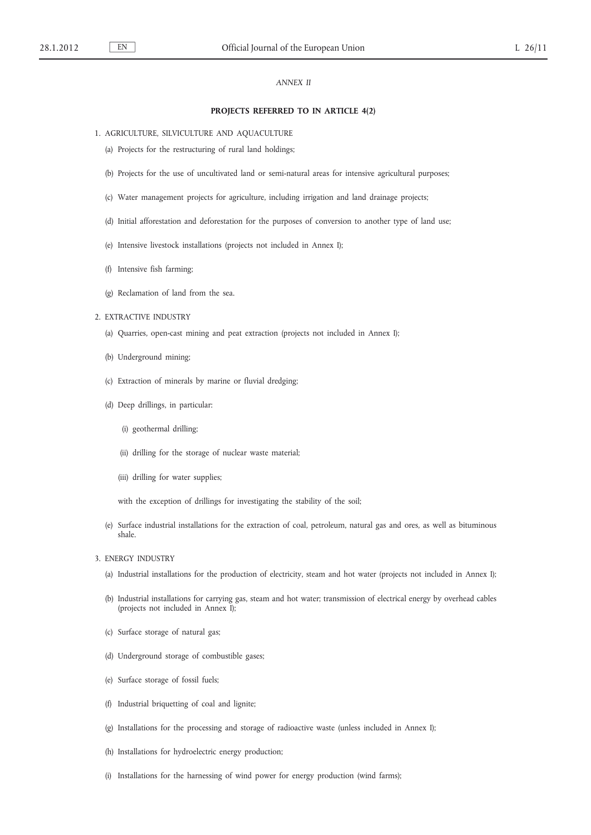#### *ANNEX II*

#### **PROJECTS REFERRED TO IN ARTICLE 4(2)**

- 1. AGRICULTURE, SILVICULTURE AND AQUACULTURE
	- (a) Projects for the restructuring of rural land holdings;
	- (b) Projects for the use of uncultivated land or semi-natural areas for intensive agricultural purposes;
	- (c) Water management projects for agriculture, including irrigation and land drainage projects;
	- (d) Initial afforestation and deforestation for the purposes of conversion to another type of land use;
	- (e) Intensive livestock installations (projects not included in Annex I);
	- (f) Intensive fish farming;
	- (g) Reclamation of land from the sea.

#### 2. EXTRACTIVE INDUSTRY

- (a) Quarries, open-cast mining and peat extraction (projects not included in Annex I);
- (b) Underground mining;
- (c) Extraction of minerals by marine or fluvial dredging;
- (d) Deep drillings, in particular:
	- (i) geothermal drilling;
	- (ii) drilling for the storage of nuclear waste material;
	- (iii) drilling for water supplies;
	- with the exception of drillings for investigating the stability of the soil;
- (e) Surface industrial installations for the extraction of coal, petroleum, natural gas and ores, as well as bituminous shale.
- 3. ENERGY INDUSTRY
	- (a) Industrial installations for the production of electricity, steam and hot water (projects not included in Annex I);
	- (b) Industrial installations for carrying gas, steam and hot water; transmission of electrical energy by overhead cables (projects not included in Annex I);
	- (c) Surface storage of natural gas;
	- (d) Underground storage of combustible gases;
	- (e) Surface storage of fossil fuels;
	- (f) Industrial briquetting of coal and lignite;
	- (g) Installations for the processing and storage of radioactive waste (unless included in Annex I);
	- (h) Installations for hydroelectric energy production;
	- (i) Installations for the harnessing of wind power for energy production (wind farms);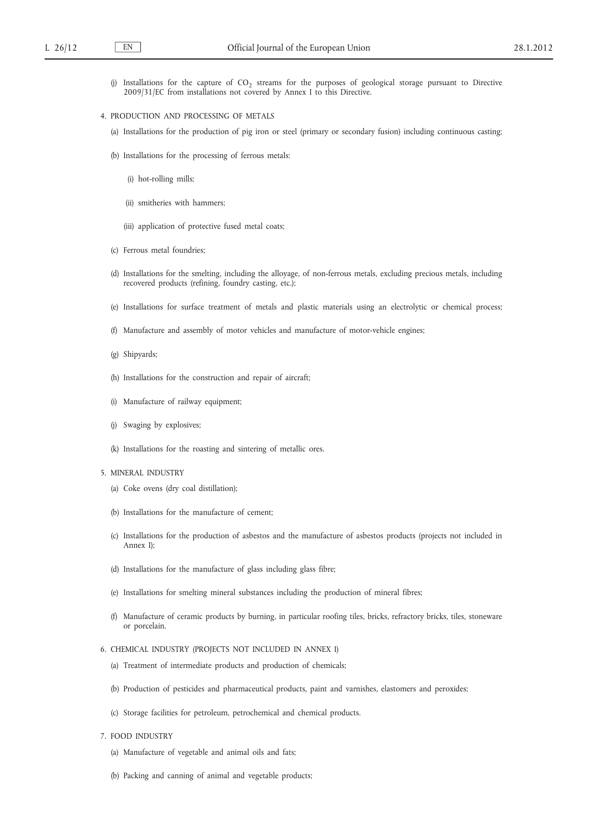(j) Installations for the capture of CO<sub>2</sub> streams for the purposes of geological storage pursuant to Directive 2009/31/EC from installations not covered by Annex I to this Directive.

#### 4. PRODUCTION AND PROCESSING OF METALS

- (a) Installations for the production of pig iron or steel (primary or secondary fusion) including continuous casting;
- (b) Installations for the processing of ferrous metals:
	- (i) hot-rolling mills;
	- (ii) smitheries with hammers;
	- (iii) application of protective fused metal coats;
- (c) Ferrous metal foundries;
- (d) Installations for the smelting, including the alloyage, of non-ferrous metals, excluding precious metals, including recovered products (refining, foundry casting, etc.);
- (e) Installations for surface treatment of metals and plastic materials using an electrolytic or chemical process;
- (f) Manufacture and assembly of motor vehicles and manufacture of motor-vehicle engines;
- (g) Shipyards;
- (h) Installations for the construction and repair of aircraft;
- (i) Manufacture of railway equipment;
- (j) Swaging by explosives;
- (k) Installations for the roasting and sintering of metallic ores.

#### 5. MINERAL INDUSTRY

- (a) Coke ovens (dry coal distillation);
- (b) Installations for the manufacture of cement;
- (c) Installations for the production of asbestos and the manufacture of asbestos products (projects not included in Annex I);
- (d) Installations for the manufacture of glass including glass fibre;
- (e) Installations for smelting mineral substances including the production of mineral fibres;
- (f) Manufacture of ceramic products by burning, in particular roofing tiles, bricks, refractory bricks, tiles, stoneware or porcelain.

### 6. CHEMICAL INDUSTRY (PROJECTS NOT INCLUDED IN ANNEX I)

- (a) Treatment of intermediate products and production of chemicals;
- (b) Production of pesticides and pharmaceutical products, paint and varnishes, elastomers and peroxides;
- (c) Storage facilities for petroleum, petrochemical and chemical products.

## 7. FOOD INDUSTRY

- (a) Manufacture of vegetable and animal oils and fats;
- (b) Packing and canning of animal and vegetable products;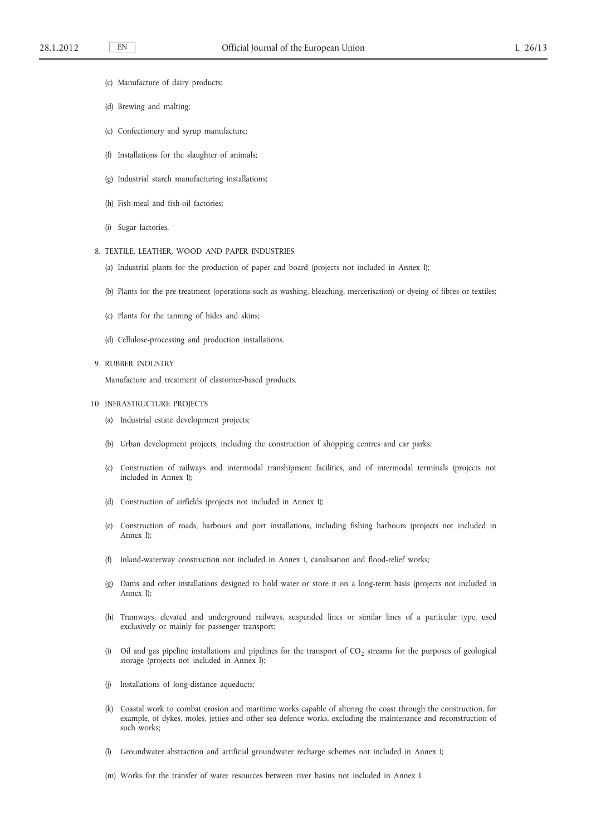- (c) Manufacture of dairy products;
- (d) Brewing and malting;
- (e) Confectionery and syrup manufacture;
- (f) Installations for the slaughter of animals;
- (g) Industrial starch manufacturing installations;
- (h) Fish-meal and fish-oil factories;
- (i) Sugar factories.
- 8. TEXTILE, LEATHER, WOOD AND PAPER INDUSTRIES
	- (a) Industrial plants for the production of paper and board (projects not included in Annex I);
	- (b) Plants for the pre-treatment (operations such as washing, bleaching, mercerisation) or dyeing of fibres or textiles;
	- (c) Plants for the tanning of hides and skins;
	- (d) Cellulose-processing and production installations.
- 9. RUBBER INDUSTRY

Manufacture and treatment of elastomer-based products.

#### 10. INFRASTRUCTURE PROJECTS

- (a) Industrial estate development projects;
- (b) Urban development projects, including the construction of shopping centres and car parks;
- (c) Construction of railways and intermodal transhipment facilities, and of intermodal terminals (projects not included in Annex I);
- (d) Construction of airfields (projects not included in Annex I);
- (e) Construction of roads, harbours and port installations, including fishing harbours (projects not included in Annex I);
- (f) Inland-waterway construction not included in Annex I, canalisation and flood-relief works;
- (g) Dams and other installations designed to hold water or store it on a long-term basis (projects not included in Annex I);
- (h) Tramways, elevated and underground railways, suspended lines or similar lines of a particular type, used exclusively or mainly for passenger transport;
- (i) Oil and gas pipeline installations and pipelines for the transport of  $CO<sub>2</sub>$  streams for the purposes of geological storage (projects not included in Annex I);
- (j) Installations of long-distance aqueducts;
- (k) Coastal work to combat erosion and maritime works capable of altering the coast through the construction, for example, of dykes, moles, jetties and other sea defence works, excluding the maintenance and reconstruction of such works;
- (l) Groundwater abstraction and artificial groundwater recharge schemes not included in Annex I;
- (m) Works for the transfer of water resources between river basins not included in Annex I.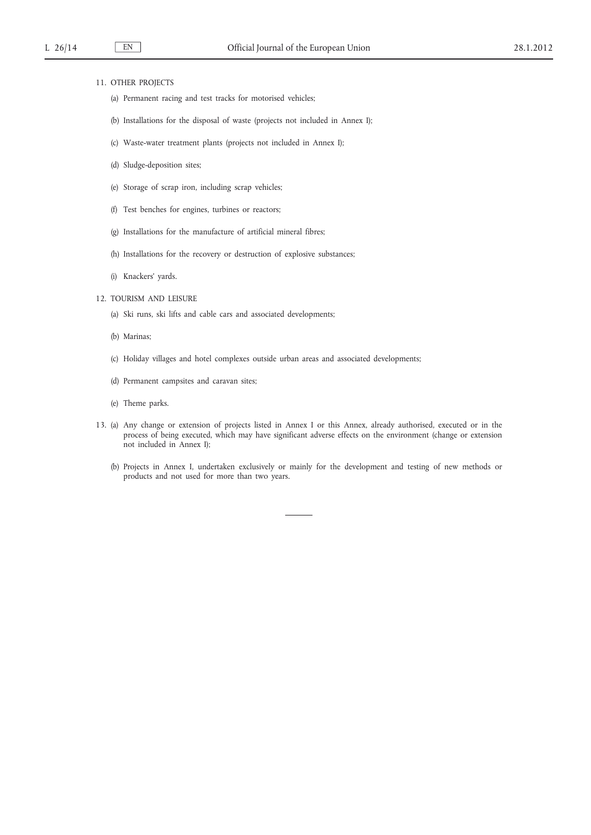### 11. OTHER PROJECTS

- (a) Permanent racing and test tracks for motorised vehicles;
- (b) Installations for the disposal of waste (projects not included in Annex I);
- (c) Waste-water treatment plants (projects not included in Annex I);
- (d) Sludge-deposition sites;
- (e) Storage of scrap iron, including scrap vehicles;
- (f) Test benches for engines, turbines or reactors;
- (g) Installations for the manufacture of artificial mineral fibres;
- (h) Installations for the recovery or destruction of explosive substances;
- (i) Knackers' yards.

### 12. TOURISM AND LEISURE

- (a) Ski runs, ski lifts and cable cars and associated developments;
- (b) Marinas;
- (c) Holiday villages and hotel complexes outside urban areas and associated developments;
- (d) Permanent campsites and caravan sites;
- (e) Theme parks.
- 13. (a) Any change or extension of projects listed in Annex I or this Annex, already authorised, executed or in the process of being executed, which may have significant adverse effects on the environment (change or extension not included in Annex I);
	- (b) Projects in Annex I, undertaken exclusively or mainly for the development and testing of new methods or products and not used for more than two years.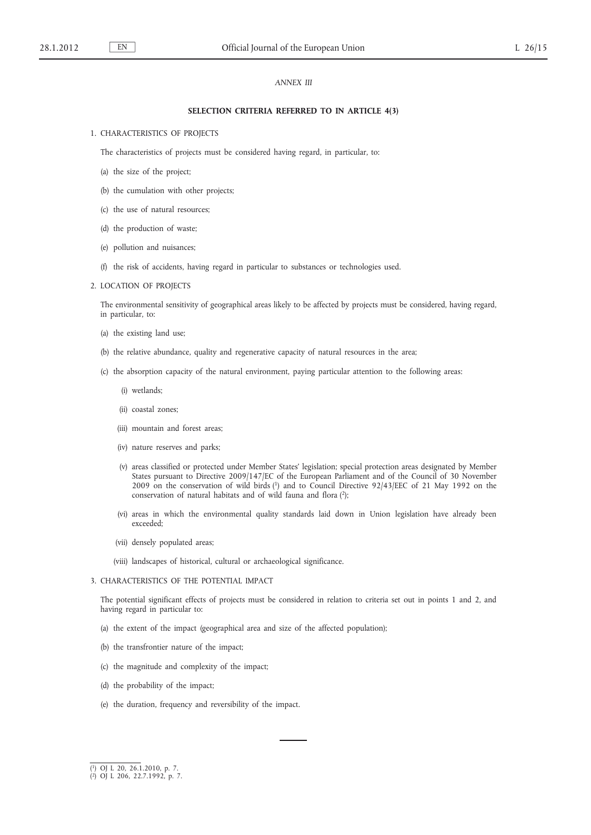### *ANNEX III*

#### **SELECTION CRITERIA REFERRED TO IN ARTICLE 4(3)**

#### 1. CHARACTERISTICS OF PROJECTS

The characteristics of projects must be considered having regard, in particular, to:

- (a) the size of the project;
- (b) the cumulation with other projects;
- (c) the use of natural resources;
- (d) the production of waste;
- (e) pollution and nuisances;
- (f) the risk of accidents, having regard in particular to substances or technologies used.

#### 2. LOCATION OF PROJECTS

The environmental sensitivity of geographical areas likely to be affected by projects must be considered, having regard, in particular, to:

- (a) the existing land use;
- (b) the relative abundance, quality and regenerative capacity of natural resources in the area;
- (c) the absorption capacity of the natural environment, paying particular attention to the following areas:
	- (i) wetlands;
	- (ii) coastal zones;
	- (iii) mountain and forest areas;
	- (iv) nature reserves and parks;
	- (v) areas classified or protected under Member States' legislation; special protection areas designated by Member States pursuant to Directive 2009/147/EC of the European Parliament and of the Council of 30 November 2009 on the conservation of wild birds (1) and to Council Directive 92/43/EEC of 21 May 1992 on the conservation of natural habitats and of wild fauna and flora (2);
	- (vi) areas in which the environmental quality standards laid down in Union legislation have already been exceeded;
	- (vii) densely populated areas;
	- (viii) landscapes of historical, cultural or archaeological significance.

### 3. CHARACTERISTICS OF THE POTENTIAL IMPACT

The potential significant effects of projects must be considered in relation to criteria set out in points 1 and 2, and having regard in particular to:

- (a) the extent of the impact (geographical area and size of the affected population);
- (b) the transfrontier nature of the impact;
- (c) the magnitude and complexity of the impact;
- (d) the probability of the impact;
- (e) the duration, frequency and reversibility of the impact.

<sup>(</sup> 1) OJ L 20, 26.1.2010, p. 7. ( 2) OJ L 206, 22.7.1992, p. 7.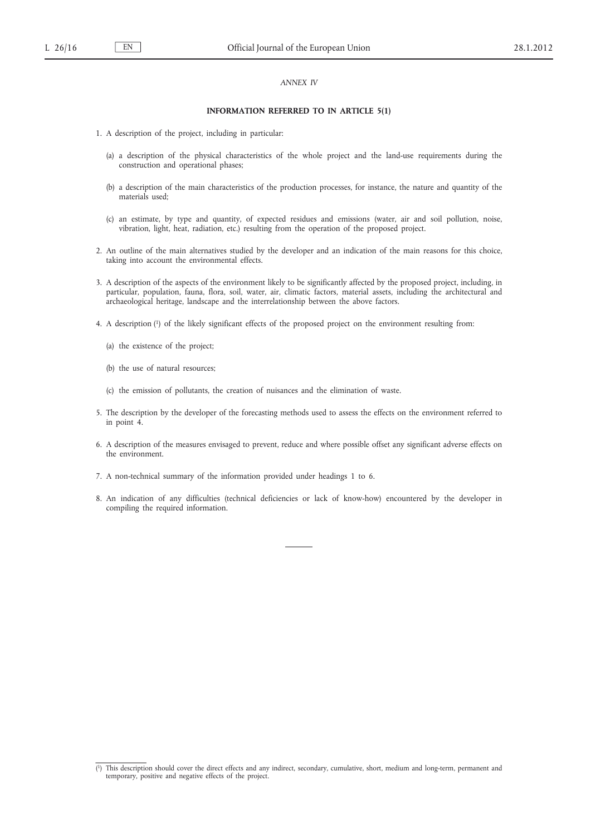#### *ANNEX IV*

#### **INFORMATION REFERRED TO IN ARTICLE 5(1)**

- 1. A description of the project, including in particular:
	- (a) a description of the physical characteristics of the whole project and the land-use requirements during the construction and operational phases;
	- (b) a description of the main characteristics of the production processes, for instance, the nature and quantity of the materials used;
	- (c) an estimate, by type and quantity, of expected residues and emissions (water, air and soil pollution, noise, vibration, light, heat, radiation, etc.) resulting from the operation of the proposed project.
- 2. An outline of the main alternatives studied by the developer and an indication of the main reasons for this choice, taking into account the environmental effects.
- 3. A description of the aspects of the environment likely to be significantly affected by the proposed project, including, in particular, population, fauna, flora, soil, water, air, climatic factors, material assets, including the architectural and archaeological heritage, landscape and the interrelationship between the above factors.
- 4. A description (1) of the likely significant effects of the proposed project on the environment resulting from:
	- (a) the existence of the project;
	- (b) the use of natural resources;
	- (c) the emission of pollutants, the creation of nuisances and the elimination of waste.
- 5. The description by the developer of the forecasting methods used to assess the effects on the environment referred to in point 4.
- 6. A description of the measures envisaged to prevent, reduce and where possible offset any significant adverse effects on the environment.
- 7. A non-technical summary of the information provided under headings 1 to 6.
- 8. An indication of any difficulties (technical deficiencies or lack of know-how) encountered by the developer in compiling the required information.

<sup>(</sup> 1) This description should cover the direct effects and any indirect, secondary, cumulative, short, medium and long-term, permanent and temporary, positive and negative effects of the project.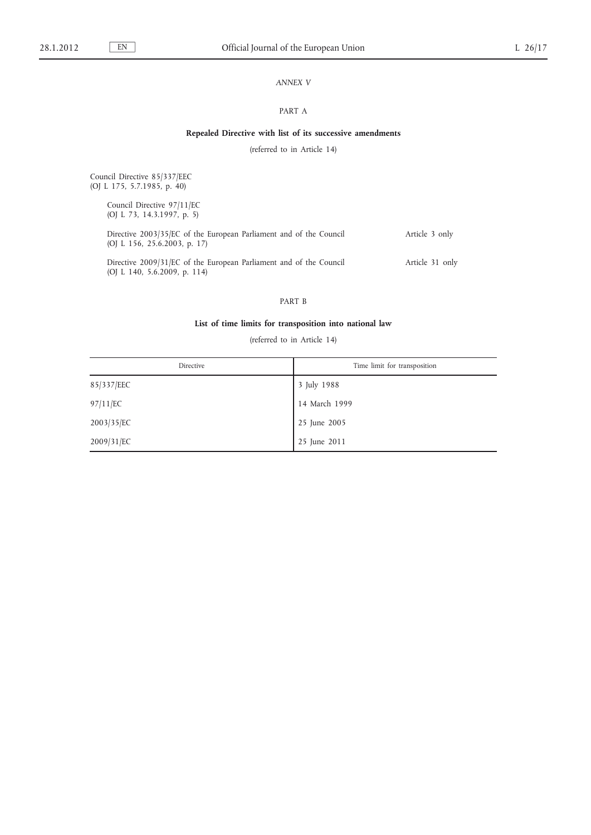## *ANNEX V*

#### PART A

### **Repealed Directive with list of its successive amendments**

## (referred to in Article 14)

Council Directive 85/337/EEC (OJ L 175, 5.7.1985, p. 40)

> Council Directive 97/11/EC (OJ L 73, 14.3.1997, p. 5)

| Directive 2003/35/EC of the European Parliament and of the Council<br>(OJ L 156, 25.6.2003, p. 17) | Article 3 only  |
|----------------------------------------------------------------------------------------------------|-----------------|
| Directive 2009/31/EC of the European Parliament and of the Council<br>(OJ L 140, 5.6.2009, p. 114) | Article 31 only |

#### PART B

## **List of time limits for transposition into national law**

(referred to in Article 14)

| Directive  | Time limit for transposition |
|------------|------------------------------|
| 85/337/EEC | 3 July 1988                  |
| 97/11/EC   | 14 March 1999                |
| 2003/35/EC | 25 June 2005                 |
| 2009/31/EC | 25 June 2011                 |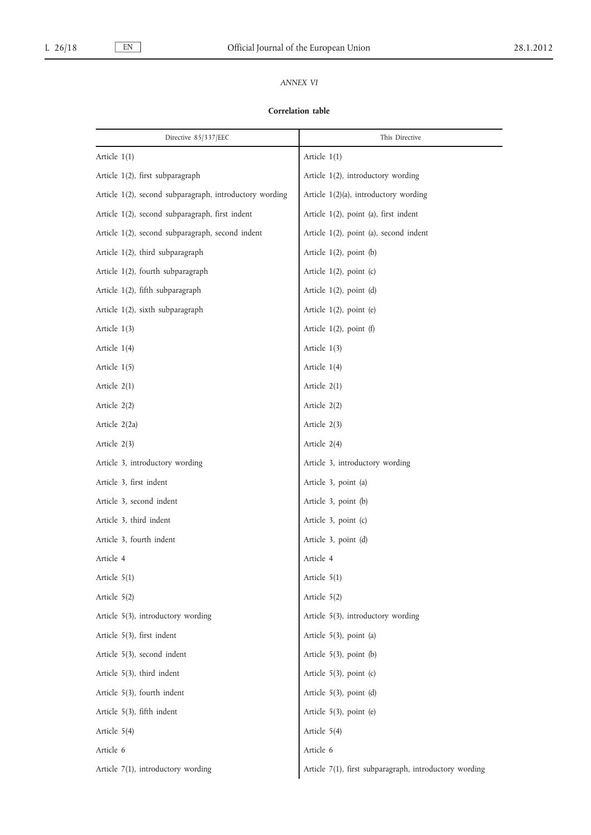## *ANNEX VI*

### **Correlation table**

| Directive 85/337/EEC                                    | This Directive                                         |
|---------------------------------------------------------|--------------------------------------------------------|
| Article $1(1)$                                          | Article $1(1)$                                         |
| Article 1(2), first subparagraph                        | Article 1(2), introductory wording                     |
| Article 1(2), second subparagraph, introductory wording | Article $1(2)(a)$ , introductory wording               |
| Article 1(2), second subparagraph, first indent         | Article 1(2), point (a), first indent                  |
| Article 1(2), second subparagraph, second indent        | Article 1(2), point (a), second indent                 |
| Article 1(2), third subparagraph                        | Article 1(2), point (b)                                |
| Article 1(2), fourth subparagraph                       | Article 1(2), point (c)                                |
| Article 1(2), fifth subparagraph                        | Article $1(2)$ , point $(d)$                           |
| Article 1(2), sixth subparagraph                        | Article $1(2)$ , point (e)                             |
| Article 1(3)                                            | Article $1(2)$ , point $(f)$                           |
| Article 1(4)                                            | Article $1(3)$                                         |
| Article 1(5)                                            | Article 1(4)                                           |
| Article $2(1)$                                          | Article 2(1)                                           |
| Article 2(2)                                            | Article 2(2)                                           |
| Article 2(2a)                                           | Article $2(3)$                                         |
| Article 2(3)                                            | Article 2(4)                                           |
| Article 3, introductory wording                         | Article 3, introductory wording                        |
| Article 3, first indent                                 | Article 3, point (a)                                   |
| Article 3, second indent                                | Article 3, point (b)                                   |
| Article 3, third indent                                 | Article 3, point (c)                                   |
| Article 3, fourth indent                                | Article 3, point (d)                                   |
| Article 4                                               | Article 4                                              |
| Article 5(1)                                            | Article 5(1)                                           |
| Article 5(2)                                            | Article 5(2)                                           |
| Article 5(3), introductory wording                      | Article 5(3), introductory wording                     |
| Article 5(3), first indent                              | Article 5(3), point (a)                                |
| Article 5(3), second indent                             | Article 5(3), point (b)                                |
| Article 5(3), third indent                              | Article 5(3), point (c)                                |
| Article 5(3), fourth indent                             | Article 5(3), point (d)                                |
| Article 5(3), fifth indent                              | Article 5(3), point (e)                                |
| Article 5(4)                                            | Article 5(4)                                           |
| Article 6                                               | Article 6                                              |
| Article 7(1), introductory wording                      | Article 7(1), first subparagraph, introductory wording |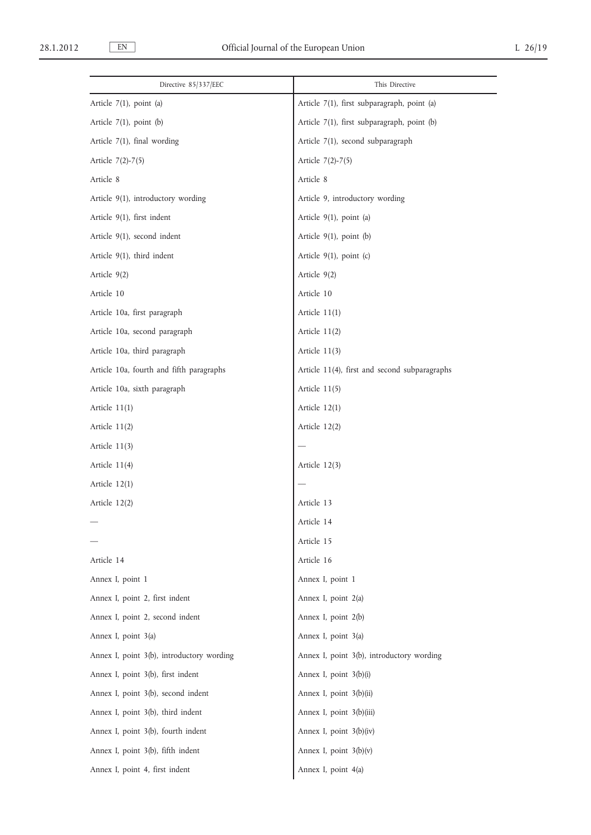| Directive 85/337/EEC                      | This Directive                                |
|-------------------------------------------|-----------------------------------------------|
| Article $7(1)$ , point (a)                | Article 7(1), first subparagraph, point (a)   |
| Article $7(1)$ , point (b)                | Article 7(1), first subparagraph, point (b)   |
| Article $7(1)$ , final wording            | Article 7(1), second subparagraph             |
| Article 7(2)-7(5)                         | Article 7(2)-7(5)                             |
| Article 8                                 | Article 8                                     |
| Article 9(1), introductory wording        | Article 9, introductory wording               |
| Article 9(1), first indent                | Article 9(1), point (a)                       |
| Article 9(1), second indent               | Article $9(1)$ , point $(b)$                  |
| Article 9(1), third indent                | Article $9(1)$ , point (c)                    |
| Article $9(2)$                            | Article 9(2)                                  |
| Article 10                                | Article 10                                    |
| Article 10a, first paragraph              | Article $11(1)$                               |
| Article 10a, second paragraph             | Article 11(2)                                 |
| Article 10a, third paragraph              | Article $11(3)$                               |
| Article 10a, fourth and fifth paragraphs  | Article 11(4), first and second subparagraphs |
| Article 10a, sixth paragraph              | Article 11(5)                                 |
| Article $11(1)$                           | Article $12(1)$                               |
| Article $11(2)$                           | Article $12(2)$                               |
| Article $11(3)$                           |                                               |
| Article 11(4)                             | Article $12(3)$                               |
| Article $12(1)$                           |                                               |
| Article $12(2)$                           | Article 13                                    |
|                                           | Article 14                                    |
|                                           | Article 15                                    |
| Article 14                                | Article 16                                    |
| Annex I, point 1                          | Annex I, point 1                              |
| Annex I, point 2, first indent            | Annex I, point 2(a)                           |
| Annex I, point 2, second indent           | Annex I, point 2(b)                           |
| Annex I, point 3(a)                       | Annex I, point 3(a)                           |
| Annex I, point 3(b), introductory wording | Annex I, point 3(b), introductory wording     |
| Annex I, point 3(b), first indent         | Annex I, point 3(b)(i)                        |
| Annex I, point 3(b), second indent        | Annex I, point 3(b)(ii)                       |
| Annex I, point 3(b), third indent         | Annex I, point 3(b)(iii)                      |
| Annex I, point 3(b), fourth indent        | Annex I, point 3(b)(iv)                       |
| Annex I, point 3(b), fifth indent         | Annex I, point 3(b)(v)                        |
| Annex I, point 4, first indent            | Annex I, point 4(a)                           |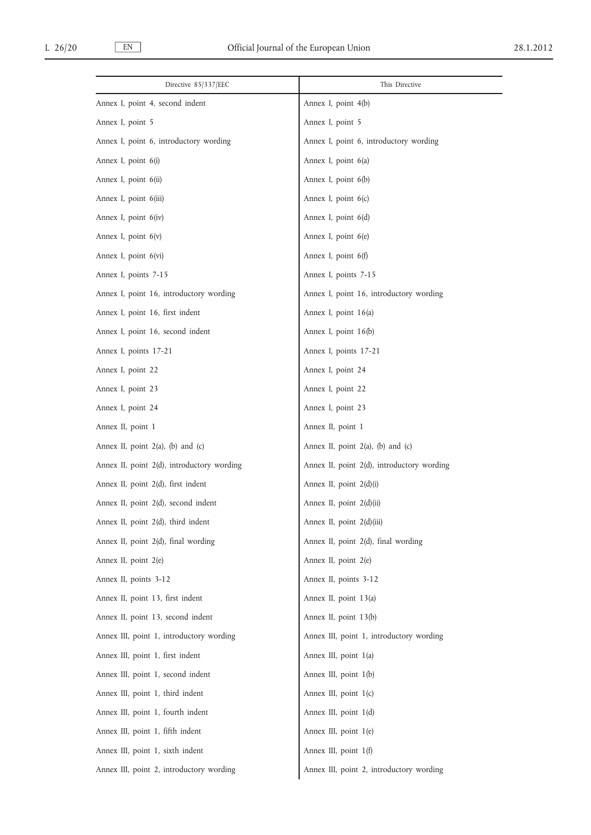$\overline{a}$ 

| Directive 85/337/EEC                       | This Directive                             |
|--------------------------------------------|--------------------------------------------|
| Annex I, point 4, second indent            | Annex I, point 4(b)                        |
| Annex I, point 5                           | Annex I, point 5                           |
| Annex I, point 6, introductory wording     | Annex I, point 6, introductory wording     |
| Annex I, point 6(i)                        | Annex I, point $6(a)$                      |
| Annex I, point 6(ii)                       | Annex I, point 6(b)                        |
| Annex I, point 6(iii)                      | Annex I, point 6(c)                        |
| Annex I, point 6(iv)                       | Annex I, point 6(d)                        |
| Annex I, point 6(v)                        | Annex I, point 6(e)                        |
| Annex I, point 6(vi)                       | Annex I, point $6(f)$                      |
| Annex I, points 7-15                       | Annex I, points 7-15                       |
| Annex I, point 16, introductory wording    | Annex I, point 16, introductory wording    |
| Annex I, point 16, first indent            | Annex I, point 16(a)                       |
| Annex I, point 16, second indent           | Annex I, point 16(b)                       |
| Annex I, points 17-21                      | Annex I, points 17-21                      |
| Annex I, point 22                          | Annex I, point 24                          |
| Annex I, point 23                          | Annex I, point 22                          |
| Annex I, point 24                          | Annex I, point 23                          |
| Annex II, point 1                          | Annex II, point 1                          |
| Annex II, point $2(a)$ , $(b)$ and $(c)$   | Annex II, point $2(a)$ , (b) and (c)       |
| Annex II, point 2(d), introductory wording | Annex II, point 2(d), introductory wording |
| Annex II, point 2(d), first indent         | Annex II, point 2(d)(i)                    |
| Annex II, point 2(d), second indent        | Annex II, point $2(d)(ii)$                 |
| Annex II, point 2(d), third indent         | Annex II, point 2(d)(iii)                  |
| Annex II, point 2(d), final wording        | Annex II, point 2(d), final wording        |
| Annex II, point 2(e)                       | Annex II, point 2(e)                       |
| Annex II, points 3-12                      | Annex II, points 3-12                      |
| Annex II, point 13, first indent           | Annex II, point 13(a)                      |
| Annex II, point 13, second indent          | Annex II, point 13(b)                      |
| Annex III, point 1, introductory wording   | Annex III, point 1, introductory wording   |
| Annex III, point 1, first indent           | Annex III, point 1(a)                      |
| Annex III, point 1, second indent          | Annex III, point 1(b)                      |
| Annex III, point 1, third indent           | Annex III, point 1(c)                      |
| Annex III, point 1, fourth indent          | Annex III, point $1(d)$                    |
| Annex III, point 1, fifth indent           | Annex III, point 1(e)                      |
| Annex III, point 1, sixth indent           | Annex III, point 1(f)                      |
| Annex III, point 2, introductory wording   | Annex III, point 2, introductory wording   |